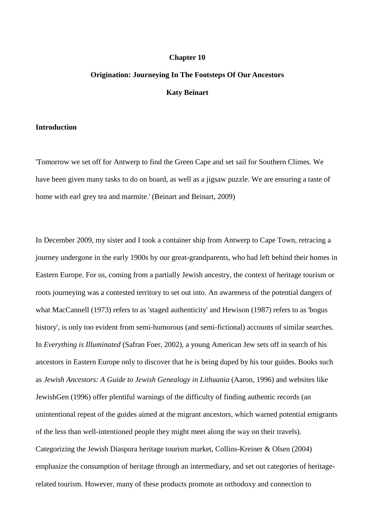#### **Chapter 10**

# **Origination: Journeying In The Footsteps Of Our Ancestors Katy Beinart**

#### **Introduction**

'Tomorrow we set off for Antwerp to find the Green Cape and set sail for Southern Climes. We have been given many tasks to do on board, as well as a jigsaw puzzle. We are ensuring a taste of home with earl grey tea and marmite.' (Beinart and Beinart, 2009)

In December 2009, my sister and I took a container ship from Antwerp to Cape Town, retracing a journey undergone in the early 1900s by our great-grandparents, who had left behind their homes in Eastern Europe. For us, coming from a partially Jewish ancestry, the context of heritage tourism or roots journeying was a contested territory to set out into. An awareness of the potential dangers of what MacCannell (1973) refers to as 'staged authenticity' and Hewison (1987) refers to as 'bogus history', is only too evident from semi-humorous (and semi-fictional) accounts of similar searches. In *Everything is Illuminated* (Safran Foer, 2002), a young American Jew sets off in search of his ancestors in Eastern Europe only to discover that he is being duped by his tour guides. Books such as *Jewish Ancestors: A Guide to Jewish Genealogy in Lithuania* (Aaron, 1996) and websites like JewishGen (1996) offer plentiful warnings of the difficulty of finding authentic records (an unintentional repeat of the guides aimed at the migrant ancestors, which warned potential emigrants of the less than well-intentioned people they might meet along the way on their travels). Categorizing the Jewish Diaspora heritage tourism market, Collins-Kreiner & Olsen (2004) emphasize the consumption of heritage through an intermediary, and set out categories of heritagerelated tourism. However, many of these products promote an orthodoxy and connection to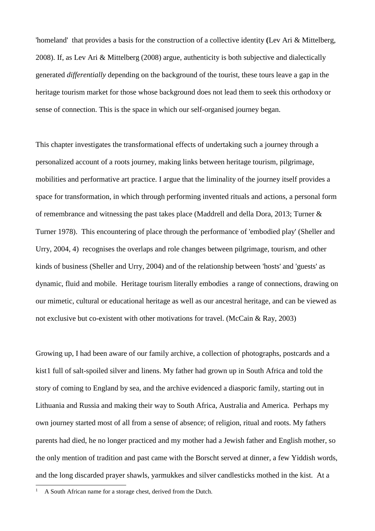'homeland' that provides a basis for the construction of a collective identity **(**Lev Ari & Mittelberg, 2008). If, as Lev Ari & Mittelberg (2008) argue, authenticity is both subjective and dialectically generated *differentially* depending on the background of the tourist, these tours leave a gap in the heritage tourism market for those whose background does not lead them to seek this orthodoxy or sense of connection. This is the space in which our self-organised journey began.

This chapter investigates the transformational effects of undertaking such a journey through a personalized account of a roots journey, making links between heritage tourism, pilgrimage, mobilities and performative art practice. I argue that the liminality of the journey itself provides a space for transformation, in which through performing invented rituals and actions, a personal form of remembrance and witnessing the past takes place (Maddrell and della Dora, 2013; Turner & Turner 1978). This encountering of place through the performance of 'embodied play' (Sheller and Urry, 2004, 4) recognises the overlaps and role changes between pilgrimage, tourism, and other kinds of business (Sheller and Urry, 2004) and of the relationship between 'hosts' and 'guests' as dynamic, fluid and mobile. Heritage tourism literally embodies a range of connections, drawing on our mimetic, cultural or educational heritage as well as our ancestral heritage, and can be viewed as not exclusive but co-existent with other motivations for travel. (McCain & Ray, 2003)

Growing up, I had been aware of our family archive, a collection of photographs, postcards and a kist[1](#page-1-0) full of salt-spoiled silver and linens. My father had grown up in South Africa and told the story of coming to England by sea, and the archive evidenced a diasporic family, starting out in Lithuania and Russia and making their way to South Africa, Australia and America. Perhaps my own journey started most of all from a sense of absence; of religion, ritual and roots. My fathers parents had died, he no longer practiced and my mother had a Jewish father and English mother, so the only mention of tradition and past came with the Borscht served at dinner, a few Yiddish words, and the long discarded prayer shawls, yarmukkes and silver candlesticks mothed in the kist. At a

<span id="page-1-0"></span> <sup>1</sup> A South African name for a storage chest, derived from the Dutch.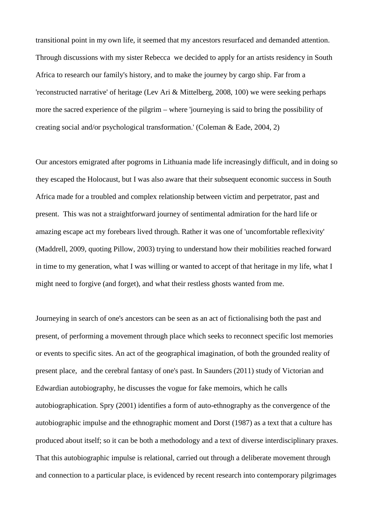transitional point in my own life, it seemed that my ancestors resurfaced and demanded attention. Through discussions with my sister Rebecca we decided to apply for an artists residency in South Africa to research our family's history, and to make the journey by cargo ship. Far from a 'reconstructed narrative' of heritage (Lev Ari & Mittelberg, 2008, 100) we were seeking perhaps more the sacred experience of the pilgrim – where 'journeying is said to bring the possibility of creating social and/or psychological transformation.' (Coleman & Eade, 2004, 2)

Our ancestors emigrated after pogroms in Lithuania made life increasingly difficult, and in doing so they escaped the Holocaust, but I was also aware that their subsequent economic success in South Africa made for a troubled and complex relationship between victim and perpetrator, past and present. This was not a straightforward journey of sentimental admiration for the hard life or amazing escape act my forebears lived through. Rather it was one of 'uncomfortable reflexivity' (Maddrell, 2009, quoting Pillow, 2003) trying to understand how their mobilities reached forward in time to my generation, what I was willing or wanted to accept of that heritage in my life, what I might need to forgive (and forget), and what their restless ghosts wanted from me.

Journeying in search of one's ancestors can be seen as an act of fictionalising both the past and present, of performing a movement through place which seeks to reconnect specific lost memories or events to specific sites. An act of the geographical imagination, of both the grounded reality of present place, and the cerebral fantasy of one's past. In Saunders (2011) study of Victorian and Edwardian autobiography, he discusses the vogue for fake memoirs, which he calls autobiographication. Spry (2001) identifies a form of auto-ethnography as the convergence of the autobiographic impulse and the ethnographic moment and Dorst (1987) as a text that a culture has produced about itself; so it can be both a methodology and a text of diverse interdisciplinary praxes. That this autobiographic impulse is relational, carried out through a deliberate movement through and connection to a particular place, is evidenced by recent research into contemporary pilgrimages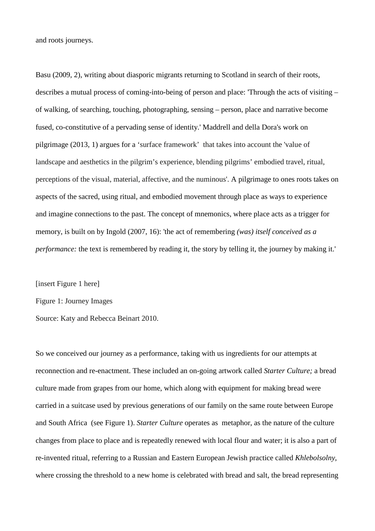and roots journeys.

Basu (2009, 2), writing about diasporic migrants returning to Scotland in search of their roots, describes a mutual process of coming-into-being of person and place: 'Through the acts of visiting – of walking, of searching, touching, photographing, sensing – person, place and narrative become fused, co-constitutive of a pervading sense of identity.' Maddrell and della Dora's work on pilgrimage (2013, 1) argues for a 'surface framework' that takes into account the 'value of landscape and aesthetics in the pilgrim's experience, blending pilgrims' embodied travel, ritual, perceptions of the visual, material, affective, and the numinous'. A pilgrimage to ones roots takes on aspects of the sacred, using ritual, and embodied movement through place as ways to experience and imagine connections to the past. The concept of mnemonics, where place acts as a trigger for memory, is built on by Ingold (2007, 16): 'the act of remembering *(was) itself conceived as a performance:* the text is remembered by reading it, the story by telling it, the journey by making it.'

[insert Figure 1 here]

Figure 1: Journey Images

Source: Katy and Rebecca Beinart 2010.

So we conceived our journey as a performance, taking with us ingredients for our attempts at reconnection and re-enactment. These included an on-going artwork called *Starter Culture;* a bread culture made from grapes from our home, which along with equipment for making bread were carried in a suitcase used by previous generations of our family on the same route between Europe and South Africa (see Figure 1). *Starter Culture* operates as metaphor, as the nature of the culture changes from place to place and is repeatedly renewed with local flour and water; it is also a part of re-invented ritual, referring to a Russian and Eastern European Jewish practice called *Khlebolsolny*, where crossing the threshold to a new home is celebrated with bread and salt, the bread representing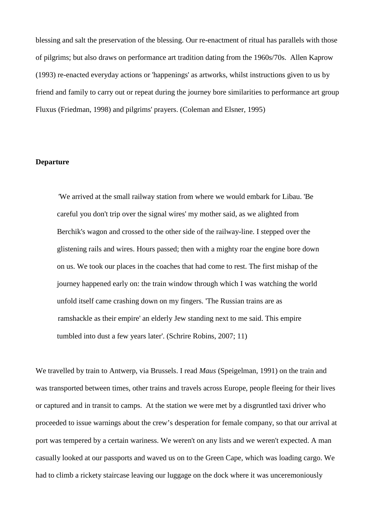blessing and salt the preservation of the blessing. Our re-enactment of ritual has parallels with those of pilgrims; but also draws on performance art tradition dating from the 1960s/70s. Allen Kaprow (1993) re-enacted everyday actions or 'happenings' as artworks, whilst instructions given to us by friend and family to carry out or repeat during the journey bore similarities to performance art group Fluxus (Friedman, 1998) and pilgrims' prayers. (Coleman and Elsner, 1995)

# **Departure**

*'*We arrived at the small railway station from where we would embark for Libau. 'Be careful you don't trip over the signal wires' my mother said, as we alighted from Berchik's wagon and crossed to the other side of the railway-line. I stepped over the glistening rails and wires. Hours passed; then with a mighty roar the engine bore down on us. We took our places in the coaches that had come to rest. The first mishap of the journey happened early on: the train window through which I was watching the world unfold itself came crashing down on my fingers. 'The Russian trains are as ramshackle as their empire' an elderly Jew standing next to me said. This empire tumbled into dust a few years later'. (Schrire Robins, 2007; 11)

We travelled by train to Antwerp, via Brussels. I read *Maus* (Speigelman, 1991) on the train and was transported between times, other trains and travels across Europe, people fleeing for their lives or captured and in transit to camps. At the station we were met by a disgruntled taxi driver who proceeded to issue warnings about the crew's desperation for female company, so that our arrival at port was tempered by a certain wariness. We weren't on any lists and we weren't expected. A man casually looked at our passports and waved us on to the Green Cape, which was loading cargo. We had to climb a rickety staircase leaving our luggage on the dock where it was unceremoniously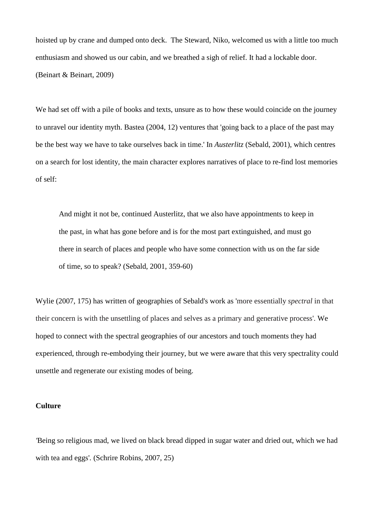hoisted up by crane and dumped onto deck. The Steward, Niko, welcomed us with a little too much enthusiasm and showed us our cabin, and we breathed a sigh of relief. It had a lockable door. (Beinart & Beinart, 2009)

We had set off with a pile of books and texts, unsure as to how these would coincide on the journey to unravel our identity myth. Bastea (2004, 12) ventures that 'going back to a place of the past may be the best way we have to take ourselves back in time.' In *Austerlitz* (Sebald, 2001), which centres on a search for lost identity, the main character explores narratives of place to re-find lost memories of self:

And might it not be, continued Austerlitz, that we also have appointments to keep in the past, in what has gone before and is for the most part extinguished, and must go there in search of places and people who have some connection with us on the far side of time, so to speak? (Sebald, 2001, 359-60)

Wylie (2007, 175) has written of geographies of Sebald's work as 'more essentially *spectral* in that their concern is with the unsettling of places and selves as a primary and generative process'. We hoped to connect with the spectral geographies of our ancestors and touch moments they had experienced, through re-embodying their journey, but we were aware that this very spectrality could unsettle and regenerate our existing modes of being.

## **Culture**

*'*Being so religious mad, we lived on black bread dipped in sugar water and dried out, which we had with tea and eggs'*.* (Schrire Robins, 2007, 25)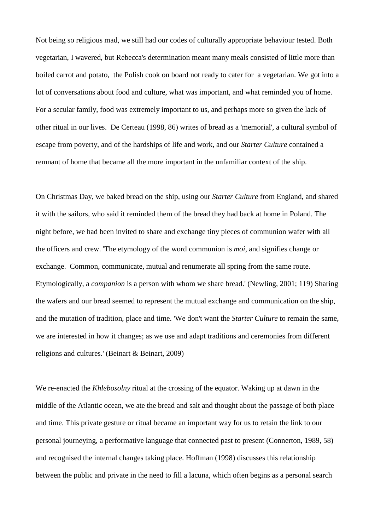Not being so religious mad, we still had our codes of culturally appropriate behaviour tested. Both vegetarian, I wavered, but Rebecca's determination meant many meals consisted of little more than boiled carrot and potato, the Polish cook on board not ready to cater for a vegetarian. We got into a lot of conversations about food and culture, what was important, and what reminded you of home. For a secular family, food was extremely important to us, and perhaps more so given the lack of other ritual in our lives. De Certeau (1998, 86) writes of bread as a 'memorial', a cultural symbol of escape from poverty, and of the hardships of life and work, and our *Starter Culture* contained a remnant of home that became all the more important in the unfamiliar context of the ship.

On Christmas Day, we baked bread on the ship, using our *Starter Culture* from England, and shared it with the sailors, who said it reminded them of the bread they had back at home in Poland. The night before, we had been invited to share and exchange tiny pieces of communion wafer with all the officers and crew. 'The etymology of the word communion is *moi*, and signifies change or exchange. Common, communicate, mutual and renumerate all spring from the same route. Etymologically, a *companion* is a person with whom we share bread.' (Newling, 2001; 119) Sharing the wafers and our bread seemed to represent the mutual exchange and communication on the ship, and the mutation of tradition, place and time. 'We don't want the *Starter Culture* to remain the same, we are interested in how it changes; as we use and adapt traditions and ceremonies from different religions and cultures.' (Beinart & Beinart, 2009)

We re-enacted the *Khlebosolny* ritual at the crossing of the equator. Waking up at dawn in the middle of the Atlantic ocean, we ate the bread and salt and thought about the passage of both place and time. This private gesture or ritual became an important way for us to retain the link to our personal journeying, a performative language that connected past to present (Connerton, 1989, 58) and recognised the internal changes taking place. Hoffman (1998) discusses this relationship between the public and private in the need to fill a lacuna, which often begins as a personal search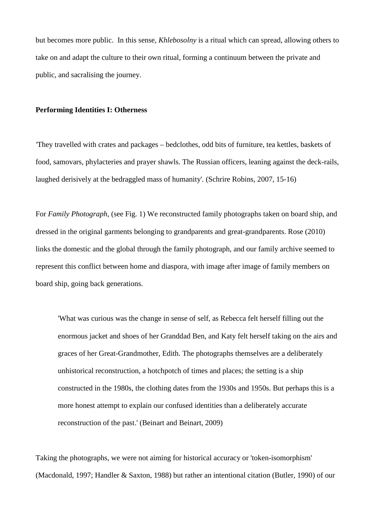but becomes more public. In this sense, *Khlebosolny* is a ritual which can spread, allowing others to take on and adapt the culture to their own ritual, forming a continuum between the private and public, and sacralising the journey.

#### **Performing Identities I: Otherness**

*'*They travelled with crates and packages – bedclothes, odd bits of furniture, tea kettles, baskets of food, samovars, phylacteries and prayer shawls. The Russian officers, leaning against the deck-rails, laughed derisively at the bedraggled mass of humanity'*.* (Schrire Robins, 2007, 15-16)

For *Family Photograph*, (see Fig. 1) We reconstructed family photographs taken on board ship, and dressed in the original garments belonging to grandparents and great-grandparents. Rose (2010) links the domestic and the global through the family photograph, and our family archive seemed to represent this conflict between home and diaspora, with image after image of family members on board ship, going back generations.

'What was curious was the change in sense of self, as Rebecca felt herself filling out the enormous jacket and shoes of her Granddad Ben, and Katy felt herself taking on the airs and graces of her Great-Grandmother, Edith. The photographs themselves are a deliberately unhistorical reconstruction, a hotchpotch of times and places; the setting is a ship constructed in the 1980s, the clothing dates from the 1930s and 1950s. But perhaps this is a more honest attempt to explain our confused identities than a deliberately accurate reconstruction of the past.' (Beinart and Beinart, 2009)

Taking the photographs, we were not aiming for historical accuracy or 'token-isomorphism' (Macdonald, 1997; Handler & Saxton, 1988) but rather an intentional citation (Butler, 1990) of our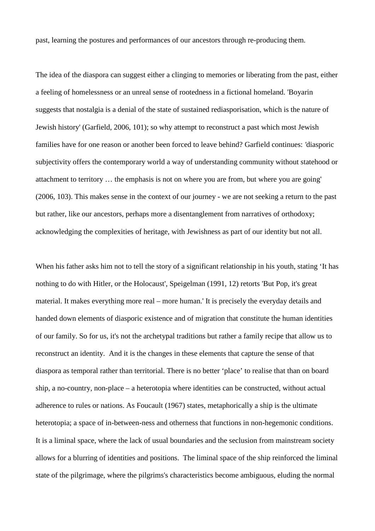past, learning the postures and performances of our ancestors through re-producing them.

The idea of the diaspora can suggest either a clinging to memories or liberating from the past, either a feeling of homelessness or an unreal sense of rootedness in a fictional homeland. 'Boyarin suggests that nostalgia is a denial of the state of sustained rediasporisation, which is the nature of Jewish history' (Garfield, 2006, 101); so why attempt to reconstruct a past which most Jewish families have for one reason or another been forced to leave behind? Garfield continues: *'*diasporic subjectivity offers the contemporary world a way of understanding community without statehood or attachment to territory … the emphasis is not on where you are from, but where you are going' (2006, 103). This makes sense in the context of our journey - we are not seeking a return to the past but rather, like our ancestors, perhaps more a disentanglement from narratives of orthodoxy; acknowledging the complexities of heritage, with Jewishness as part of our identity but not all.

When his father asks him not to tell the story of a significant relationship in his youth, stating 'It has nothing to do with Hitler, or the Holocaust', Speigelman (1991, 12) retorts 'But Pop, it's great material. It makes everything more real – more human.' It is precisely the everyday details and handed down elements of diasporic existence and of migration that constitute the human identities of our family. So for us, it's not the archetypal traditions but rather a family recipe that allow us to reconstruct an identity. And it is the changes in these elements that capture the sense of that diaspora as temporal rather than territorial. There is no better 'place' to realise that than on board ship, a no-country, non-place – a heterotopia where identities can be constructed, without actual adherence to rules or nations. As Foucault (1967) states, metaphorically a ship is the ultimate heterotopia; a space of in-between-ness and otherness that functions in non-hegemonic conditions. It is a liminal space, where the lack of usual boundaries and the seclusion from mainstream society allows for a blurring of identities and positions. The liminal space of the ship reinforced the liminal state of the pilgrimage, where the pilgrims's characteristics become ambiguous, eluding the normal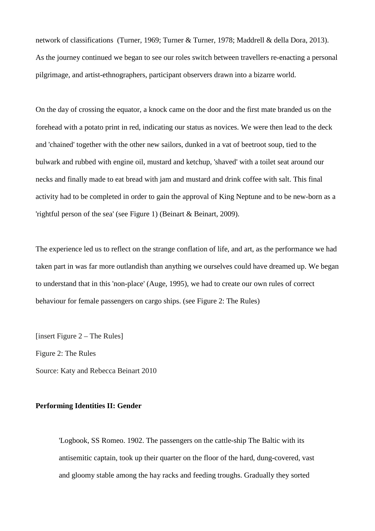network of classifications (Turner, 1969; Turner & Turner, 1978; Maddrell & della Dora, 2013). As the journey continued we began to see our roles switch between travellers re-enacting a personal pilgrimage, and artist-ethnographers, participant observers drawn into a bizarre world.

On the day of crossing the equator, a knock came on the door and the first mate branded us on the forehead with a potato print in red, indicating our status as novices. We were then lead to the deck and 'chained' together with the other new sailors, dunked in a vat of beetroot soup, tied to the bulwark and rubbed with engine oil, mustard and ketchup, 'shaved' with a toilet seat around our necks and finally made to eat bread with jam and mustard and drink coffee with salt. This final activity had to be completed in order to gain the approval of King Neptune and to be new-born as a 'rightful person of the sea' (see Figure 1) (Beinart & Beinart, 2009).

The experience led us to reflect on the strange conflation of life, and art, as the performance we had taken part in was far more outlandish than anything we ourselves could have dreamed up. We began to understand that in this 'non-place' (Auge, 1995), we had to create our own rules of correct behaviour for female passengers on cargo ships. (see Figure 2: The Rules)

[insert Figure 2 – The Rules] Figure 2: The Rules Source: Katy and Rebecca Beinart 2010

# **Performing Identities II: Gender**

'Logbook, SS Romeo. 1902. The passengers on the cattle-ship The Baltic with its antisemitic captain, took up their quarter on the floor of the hard, dung-covered, vast and gloomy stable among the hay racks and feeding troughs. Gradually they sorted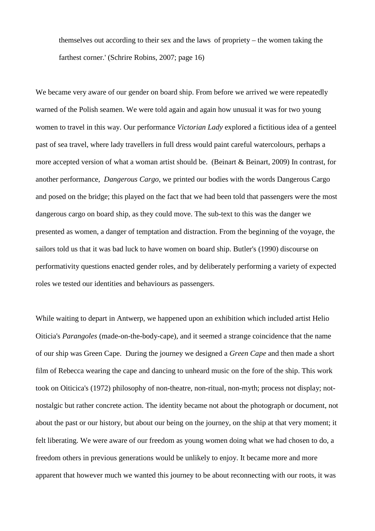themselves out according to their sex and the laws of propriety – the women taking the farthest corner.' (Schrire Robins, 2007; page 16)

We became very aware of our gender on board ship. From before we arrived we were repeatedly warned of the Polish seamen. We were told again and again how unusual it was for two young women to travel in this way. Our performance *Victorian Lady* explored a fictitious idea of a genteel past of sea travel, where lady travellers in full dress would paint careful watercolours, perhaps a more accepted version of what a woman artist should be. (Beinart & Beinart, 2009) In contrast, for another performance, *Dangerous Cargo,* we printed our bodies with the words Dangerous Cargo and posed on the bridge; this played on the fact that we had been told that passengers were the most dangerous cargo on board ship, as they could move. The sub-text to this was the danger we presented as women, a danger of temptation and distraction. From the beginning of the voyage, the sailors told us that it was bad luck to have women on board ship. Butler's (1990) discourse on performativity questions enacted gender roles, and by deliberately performing a variety of expected roles we tested our identities and behaviours as passengers.

While waiting to depart in Antwerp, we happened upon an exhibition which included artist Helio Oiticia's *Parangoles* (made-on-the-body-cape), and it seemed a strange coincidence that the name of our ship was Green Cape. During the journey we designed a *Green Cape* and then made a short film of Rebecca wearing the cape and dancing to unheard music on the fore of the ship. This work took on Oiticica's (1972) philosophy of non-theatre, non-ritual, non-myth; process not display; notnostalgic but rather concrete action. The identity became not about the photograph or document, not about the past or our history, but about our being on the journey, on the ship at that very moment; it felt liberating. We were aware of our freedom as young women doing what we had chosen to do, a freedom others in previous generations would be unlikely to enjoy. It became more and more apparent that however much we wanted this journey to be about reconnecting with our roots, it was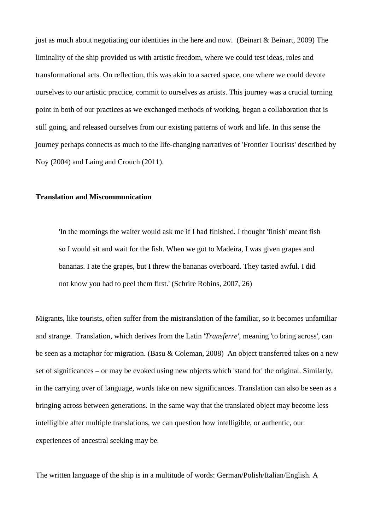just as much about negotiating our identities in the here and now. (Beinart & Beinart, 2009) The liminality of the ship provided us with artistic freedom, where we could test ideas, roles and transformational acts. On reflection, this was akin to a sacred space, one where we could devote ourselves to our artistic practice, commit to ourselves as artists. This journey was a crucial turning point in both of our practices as we exchanged methods of working, began a collaboration that is still going, and released ourselves from our existing patterns of work and life. In this sense the journey perhaps connects as much to the life-changing narratives of 'Frontier Tourists' described by Noy (2004) and Laing and Crouch (2011).

## **Translation and Miscommunication**

'In the mornings the waiter would ask me if I had finished. I thought 'finish' meant fish so I would sit and wait for the fish. When we got to Madeira, I was given grapes and bananas. I ate the grapes, but I threw the bananas overboard. They tasted awful. I did not know you had to peel them first.' (Schrire Robins, 2007, 26)

Migrants, like tourists, often suffer from the mistranslation of the familiar, so it becomes unfamiliar and strange. Translation, which derives from the Latin '*Transferre'*, meaning 'to bring across', can be seen as a metaphor for migration. (Basu & Coleman, 2008) An object transferred takes on a new set of significances – or may be evoked using new objects which 'stand for' the original. Similarly, in the carrying over of language, words take on new significances. Translation can also be seen as a bringing across between generations. In the same way that the translated object may become less intelligible after multiple translations, we can question how intelligible, or authentic, our experiences of ancestral seeking may be.

The written language of the ship is in a multitude of words: German/Polish/Italian/English. A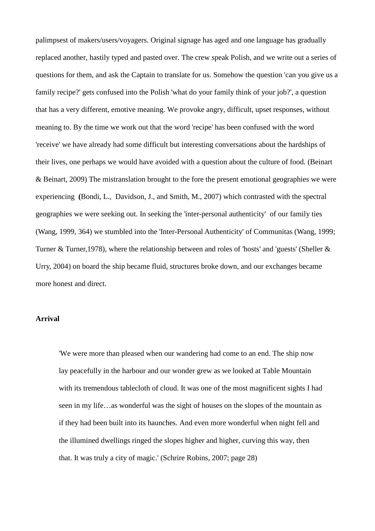palimpsest of makers/users/voyagers. Original signage has aged and one language has gradually replaced another, hastily typed and pasted over. The crew speak Polish, and we write out a series of questions for them, and ask the Captain to translate for us. Somehow the question 'can you give us a family recipe?' gets confused into the Polish 'what do your family think of your job?', a question that has a very different, emotive meaning. We provoke angry, difficult, upset responses, without meaning to. By the time we work out that the word 'recipe' has been confused with the word 'receive' we have already had some difficult but interesting conversations about the hardships of their lives, one perhaps we would have avoided with a question about the culture of food. (Beinart & Beinart, 2009) The mistranslation brought to the fore the present emotional geographies we were experiencing **(**Bondi, L., Davidson, J., and Smith, M., 2007) which contrasted with the spectral geographies we were seeking out. In seeking the 'inter-personal authenticity' of our family ties (Wang, 1999, 364) we stumbled into the 'Inter-Personal Authenticity' of Communitas (Wang, 1999; Turner & Turner,1978), where the relationship between and roles of 'hosts' and 'guests' (Sheller & Urry, 2004) on board the ship became fluid, structures broke down, and our exchanges became more honest and direct.

#### **Arrival**

'We were more than pleased when our wandering had come to an end. The ship now lay peacefully in the harbour and our wonder grew as we looked at Table Mountain with its tremendous tablecloth of cloud. It was one of the most magnificent sights I had seen in my life…as wonderful was the sight of houses on the slopes of the mountain as if they had been built into its haunches. And even more wonderful when night fell and the illumined dwellings ringed the slopes higher and higher, curving this way, then that. It was truly a city of magic.' (Schrire Robins, 2007; page 28)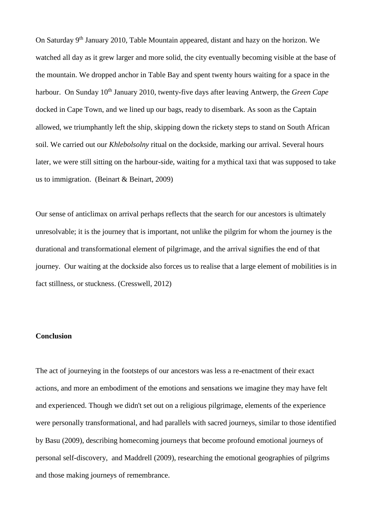On Saturday 9<sup>th</sup> January 2010, Table Mountain appeared, distant and hazy on the horizon. We watched all day as it grew larger and more solid, the city eventually becoming visible at the base of the mountain. We dropped anchor in Table Bay and spent twenty hours waiting for a space in the harbour. On Sunday 10<sup>th</sup> January 2010, twenty-five days after leaving Antwerp, the *Green Cape* docked in Cape Town, and we lined up our bags, ready to disembark. As soon as the Captain allowed, we triumphantly left the ship, skipping down the rickety steps to stand on South African soil. We carried out our *Khlebolsolny* ritual on the dockside, marking our arrival. Several hours later, we were still sitting on the harbour-side, waiting for a mythical taxi that was supposed to take us to immigration. (Beinart & Beinart, 2009)

Our sense of anticlimax on arrival perhaps reflects that the search for our ancestors is ultimately unresolvable; it is the journey that is important, not unlike the pilgrim for whom the journey is the durational and transformational element of pilgrimage, and the arrival signifies the end of that journey. Our waiting at the dockside also forces us to realise that a large element of mobilities is in fact stillness, or stuckness. (Cresswell, 2012)

# **Conclusion**

The act of journeying in the footsteps of our ancestors was less a re-enactment of their exact actions, and more an embodiment of the emotions and sensations we imagine they may have felt and experienced. Though we didn't set out on a religious pilgrimage, elements of the experience were personally transformational, and had parallels with sacred journeys, similar to those identified by Basu (2009), describing homecoming journeys that become profound emotional journeys of personal self-discovery, and Maddrell (2009), researching the emotional geographies of pilgrims and those making journeys of remembrance.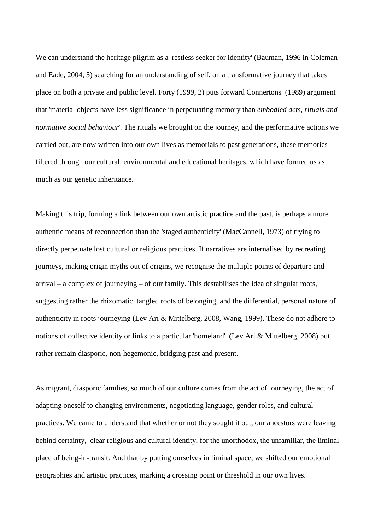We can understand the heritage pilgrim as a 'restless seeker for identity' (Bauman, 1996 in Coleman and Eade, 2004, 5) searching for an understanding of self, on a transformative journey that takes place on both a private and public level. Forty (1999, 2) puts forward Connertons (1989) argument that 'material objects have less significance in perpetuating memory than *embodied acts, rituals and normative social behaviour*'. The rituals we brought on the journey, and the performative actions we carried out, are now written into our own lives as memorials to past generations, these memories filtered through our cultural, environmental and educational heritages, which have formed us as much as our genetic inheritance.

Making this trip, forming a link between our own artistic practice and the past, is perhaps a more authentic means of reconnection than the 'staged authenticity' (MacCannell, 1973) of trying to directly perpetuate lost cultural or religious practices. If narratives are internalised by recreating journeys, making origin myths out of origins, we recognise the multiple points of departure and arrival – a complex of journeying – of our family. This destabilises the idea of singular roots, suggesting rather the rhizomatic, tangled roots of belonging, and the differential, personal nature of authenticity in roots journeying **(**Lev Ari & Mittelberg, 2008, Wang, 1999). These do not adhere to notions of collective identity or links to a particular 'homeland' **(**Lev Ari & Mittelberg, 2008) but rather remain diasporic, non-hegemonic, bridging past and present.

As migrant, diasporic families, so much of our culture comes from the act of journeying, the act of adapting oneself to changing environments, negotiating language, gender roles, and cultural practices. We came to understand that whether or not they sought it out, our ancestors were leaving behind certainty, clear religious and cultural identity, for the unorthodox, the unfamiliar, the liminal place of being-in-transit. And that by putting ourselves in liminal space, we shifted our emotional geographies and artistic practices, marking a crossing point or threshold in our own lives.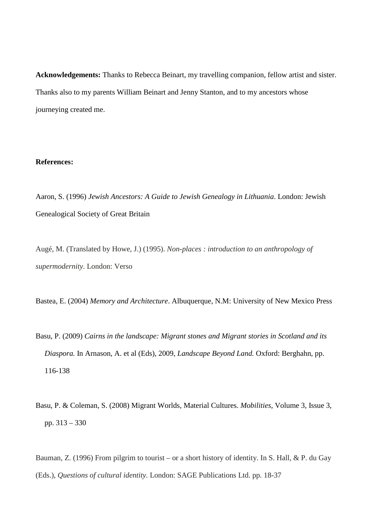**Acknowledgements:** Thanks to Rebecca Beinart, my travelling companion, fellow artist and sister. Thanks also to my parents William Beinart and Jenny Stanton, and to my ancestors whose journeying created me.

# **References:**

Aaron, S. (1996) *Jewish Ancestors: A Guide to Jewish Genealogy in Lithuania*. London: Jewish Genealogical Society of Great Britain

Augé, M. (Translated by Howe, J.) (1995). *Non-places : introduction to an anthropology of supermodernity*. London: Verso

Bastea, E. (2004) *Memory and Architecture*. Albuquerque, N.M: University of New Mexico Press

- Basu, P. (2009) *Cairns in the landscape: Migrant stones and Migrant stories in Scotland and its Diaspora.* In Arnason, A. et al (Eds), 2009, *Landscape Beyond Land.* Oxford: Berghahn, pp. 116-138
- Basu, P. & Coleman, S. (2008) Migrant Worlds, Material Cultures. *Mobilities*, Volume 3, Issue 3, pp. 313 – 330

Bauman, Z. (1996) From pilgrim to tourist – or a short history of identity. In S. Hall, & P. du Gay (Eds.), *Questions of cultural identity.* London: SAGE Publications Ltd. pp. 18-37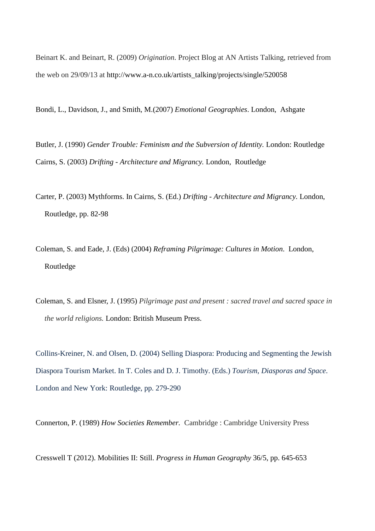Beinart K. and Beinart, R. (2009) *Origination*. Project Blog at AN Artists Talking, retrieved from the web on 29/09/13 at [http://www.a-n.co.uk/artists\\_talking/projects/single/520058](http://www.a-n.co.uk/artists_talking/projects/single/520058)

Bondi, L., Davidson, J., and Smith, M.(2007) *Emotional Geographies*. London, Ashgate

Butler, J. (1990) *Gender Trouble: Feminism and the Subversion of Identity.* London: Routledge Cairns, S. (2003) *Drifting - Architecture and Migrancy.* London, Routledge

- Carter, P. (2003) Mythforms. In Cairns, S. (Ed.) *Drifting - Architecture and Migrancy.* London, Routledge, pp. 82-98
- Coleman, S. and Eade, J. (Eds) (2004) *Reframing Pilgrimage: Cultures in Motion*. London, Routledge
- Coleman, S. and Elsner, J. (1995) *Pilgrimage past and present : sacred travel and sacred space in the world religions.* London: British Museum Press.

Collins-Kreiner, N. and Olsen, D. (2004) Selling Diaspora: Producing and Segmenting the Jewish Diaspora Tourism Market. In T. Coles and D. J. Timothy. (Eds.) *Tourism, Diasporas and Space*. London and New York: Routledge, pp. 279-290

Connerton, P. (1989) *How Societies Remember.* Cambridge : Cambridge University Press

Cresswell T (2012). Mobilities II: Still. *Progress in Human Geography* 36/5, pp. 645-653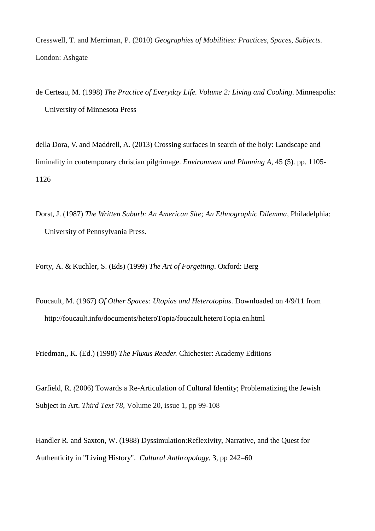Cresswell, T. and Merriman, P. (2010) *Geographies of Mobilities: Practices, Spaces, Subjects.* London: Ashgate

de Certeau, M. (1998) *The Practice of Everyday Life. Volume 2: Living and Cooking*. Minneapolis: University of Minnesota Press

della Dora, V. and Maddrell, A. (2013) Crossing surfaces in search of the holy: Landscape and liminality in contemporary christian pilgrimage. *Environment and Planning A,* 45 (5). pp. 1105- 1126

Dorst, J. (1987) *The Written Suburb: An American Site; An Ethnographic Dilemma,* Philadelphia: University of Pennsylvania Press.

Forty, A. & Kuchler, S. (Eds) (1999) *The Art of Forgetting*. Oxford: Berg

Foucault, M. (1967) *Of Other Spaces: Utopias and Heterotopias*. Downloaded on 4/9/11 from <http://foucault.info/documents/heteroTopia/foucault.heteroTopia.en.html>

Friedman,, K. (Ed.) (1998) *The Fluxus Reader.* Chichester: Academy Editions

Garfield, R. *(*2006) Towards a Re-Articulation of Cultural Identity; Problematizing the Jewish Subject in Art. *Third Text 78*, Volume 20, issue 1, pp 99-108

Handler R. and Saxton, W. (1988) Dyssimulation:Reflexivity, Narrative, and the Quest for Authenticity in "Living History". *Cultural Anthropology,* 3, pp 242–60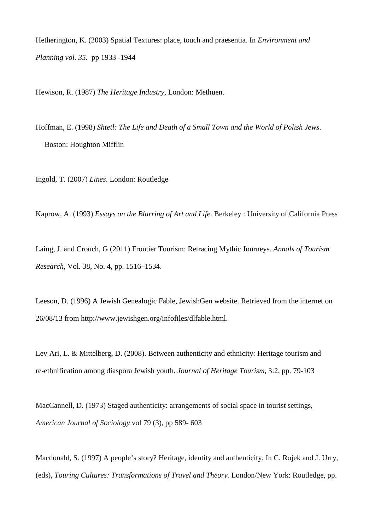Hetherington, K. (2003) Spatial Textures: place, touch and praesentia. In *Environment and Planning vol. 35.* pp 1933 -1944

Hewison, R. (1987) *The Heritage Industry,* London: Methuen.

Hoffman, E. (1998) *Shtetl: The Life and Death of a Small Town and the World of Polish Jews*. Boston: Houghton Mifflin

Ingold, T. (2007) *Lines*. London: Routledge

Kaprow, A. (1993) *Essays on the Blurring of Art and Life*. Berkeley : University of California Press

Laing, J. and Crouch, G (2011) Frontier Tourism: Retracing Mythic Journeys. *Annals of Tourism Research,* Vol. 38, No. 4, pp. 1516–1534.

Leeson, D. (1996) A Jewish Genealogic Fable, JewishGen website. Retrieved from the internet on 26/08/13 from [http://www.jewishgen.org/infofiles/dlfable.html.](http://www.jewishgen.org/infofiles/dlfable.html)

Lev Ari, L. & Mittelberg, D. (2008). Between authenticity and ethnicity: Heritage tourism and re-ethnification among diaspora Jewish youth. *Journal of Heritage Tourism*, 3:2, pp. 79-103

MacCannell, D. (1973) Staged authenticity: arrangements of social space in tourist settings, *American Journal of Sociology* vol 79 (3), pp 589- 603

Macdonald, S. (1997) A people's story? Heritage, identity and authenticity. In C. Rojek and J. Urry, (eds), *Touring Cultures: Transformations of Travel and Theory.* London/New York: Routledge, pp.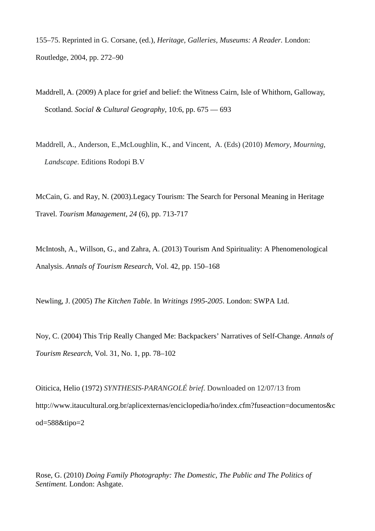155–75. Reprinted in G. Corsane, (ed.), *Heritage, Galleries, Museums: A Reader.* London: Routledge, 2004, pp. 272–90

Maddrell, A. (2009) A place for grief and belief: the Witness Cairn, Isle of Whithorn, Galloway, Scotland. *Social & Cultural Geography*, 10:6, pp. 675 — 693

Maddrell, A., Anderson, E.,McLoughlin, K., and Vincent, A. (Eds) (2010) *Memory, Mourning, Landscape*. Editions Rodopi B.V

McCain, G. and Ray, N. (2003).Legacy Tourism: The Search for Personal Meaning in Heritage Travel. *Tourism Management, 24* (6), pp. 713-717

McIntosh, A., Willson, G., and Zahra, A. (2013) Tourism And Spirituality: A Phenomenological Analysis. *Annals of Tourism Research*, Vol. 42, pp. 150–168

Newling, J. (2005) *The Kitchen Table*. In *Writings 1995-2005*. London: SWPA Ltd.

Noy, C. (2004) This Trip Really Changed Me: Backpackers' Narratives of Self-Change. *Annals of Tourism Research*, Vol. 31, No. 1, pp. 78–102

Oiticica, Helio (1972) *SYNTHESIS-PARANGOLÉ brief*. Downloaded on 12/07/13 from [http://www.itaucultural.org.br/aplicexternas/enciclopedia/ho/index.cfm?fuseaction=documentos&c](http://www.itaucultural.org.br/aplicexternas/enciclopedia/ho/index.cfm?fuseaction=documentos&cod=588&tipo=2) [od=588&tipo=2](http://www.itaucultural.org.br/aplicexternas/enciclopedia/ho/index.cfm?fuseaction=documentos&cod=588&tipo=2)

Rose, G. (2010) *Doing Family Photography: The Domestic, The Public and The Politics of Sentiment.* London: Ashgate.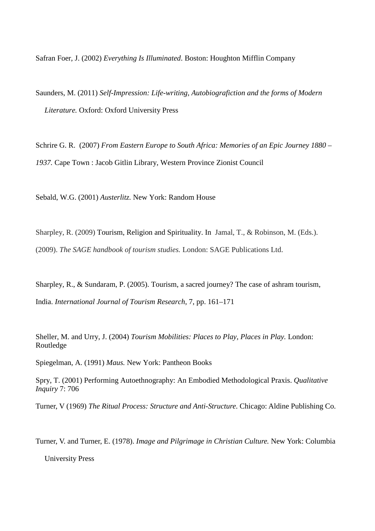Safran Foer, J. (2002) *Everything Is Illuminated*. Boston: Houghton Mifflin Company

Saunders, M. (2011) *Self-Impression: Life-writing, Autobiografiction and the forms of Modern Literature.* Oxford: Oxford University Press

Schrire G. R. (2007) *From Eastern Europe to South Africa: Memories of an Epic Journey 1880 – 1937.* Cape Town : Jacob Gitlin Library, Western Province Zionist Council

Sebald, W.G. (2001) *Austerlitz.* New York: Random House

Sharpley, R. (2009) Tourism, Religion and Spirituality. In Jamal, T., & Robinson, M. (Eds.). (2009). *The SAGE handbook of tourism studies.* London: SAGE Publications Ltd.

Sharpley, R., & Sundaram, P. (2005). Tourism, a sacred journey? The case of ashram tourism, India. *International Journal of Tourism Research*, 7, pp. 161–171

Sheller, M. and Urry, J. (2004) *Tourism Mobilities: Places to Play, Places in Play.* London: Routledge

Spiegelman, A. (1991) *Maus.* New York: Pantheon Books

Spry, T. (2001) Performing Autoethnography: An Embodied Methodological Praxis. *Qualitative Inquiry* 7: 706

Turner, V (1969) *The Ritual Process: Structure and Anti-Structure*. Chicago: Aldine Publishing Co.

Turner, V. and Turner, E. (1978). *Image and Pilgrimage in Christian Culture.* New York: Columbia

University Press